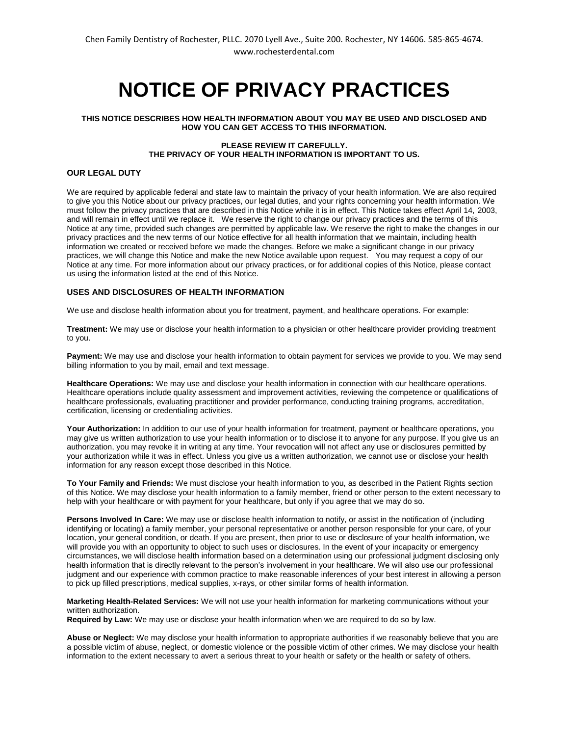# **NOTICE OF PRIVACY PRACTICES**

#### **THIS NOTICE DESCRIBES HOW HEALTH INFORMATION ABOUT YOU MAY BE USED AND DISCLOSED AND HOW YOU CAN GET ACCESS TO THIS INFORMATION.**

### **PLEASE REVIEW IT CAREFULLY. THE PRIVACY OF YOUR HEALTH INFORMATION IS IMPORTANT TO US.**

## **OUR LEGAL DUTY**

We are required by applicable federal and state law to maintain the privacy of your health information. We are also required to give you this Notice about our privacy practices, our legal duties, and your rights concerning your health information. We must follow the privacy practices that are described in this Notice while it is in effect. This Notice takes effect April 14, 2003, and will remain in effect until we replace it. We reserve the right to change our privacy practices and the terms of this Notice at any time, provided such changes are permitted by applicable law. We reserve the right to make the changes in our privacy practices and the new terms of our Notice effective for all health information that we maintain, including health information we created or received before we made the changes. Before we make a significant change in our privacy practices, we will change this Notice and make the new Notice available upon request. You may request a copy of our Notice at any time. For more information about our privacy practices, or for additional copies of this Notice, please contact us using the information listed at the end of this Notice.

### **USES AND DISCLOSURES OF HEALTH INFORMATION**

We use and disclose health information about you for treatment, payment, and healthcare operations. For example:

**Treatment:** We may use or disclose your health information to a physician or other healthcare provider providing treatment to you.

**Payment:** We may use and disclose your health information to obtain payment for services we provide to you. We may send billing information to you by mail, email and text message.

**Healthcare Operations:** We may use and disclose your health information in connection with our healthcare operations. Healthcare operations include quality assessment and improvement activities, reviewing the competence or qualifications of healthcare professionals, evaluating practitioner and provider performance, conducting training programs, accreditation, certification, licensing or credentialing activities.

Your Authorization: In addition to our use of your health information for treatment, payment or healthcare operations, you may give us written authorization to use your health information or to disclose it to anyone for any purpose. If you give us an authorization, you may revoke it in writing at any time. Your revocation will not affect any use or disclosures permitted by your authorization while it was in effect. Unless you give us a written authorization, we cannot use or disclose your health information for any reason except those described in this Notice.

**To Your Family and Friends:** We must disclose your health information to you, as described in the Patient Rights section of this Notice. We may disclose your health information to a family member, friend or other person to the extent necessary to help with your healthcare or with payment for your healthcare, but only if you agree that we may do so.

**Persons Involved In Care:** We may use or disclose health information to notify, or assist in the notification of (including identifying or locating) a family member, your personal representative or another person responsible for your care, of your location, your general condition, or death. If you are present, then prior to use or disclosure of your health information, we will provide you with an opportunity to object to such uses or disclosures. In the event of your incapacity or emergency circumstances, we will disclose health information based on a determination using our professional judgment disclosing only health information that is directly relevant to the person's involvement in your healthcare. We will also use our professional judgment and our experience with common practice to make reasonable inferences of your best interest in allowing a person to pick up filled prescriptions, medical supplies, x-rays, or other similar forms of health information.

**Marketing Health-Related Services:** We will not use your health information for marketing communications without your written authorization.

**Required by Law:** We may use or disclose your health information when we are required to do so by law.

**Abuse or Neglect:** We may disclose your health information to appropriate authorities if we reasonably believe that you are a possible victim of abuse, neglect, or domestic violence or the possible victim of other crimes. We may disclose your health information to the extent necessary to avert a serious threat to your health or safety or the health or safety of others.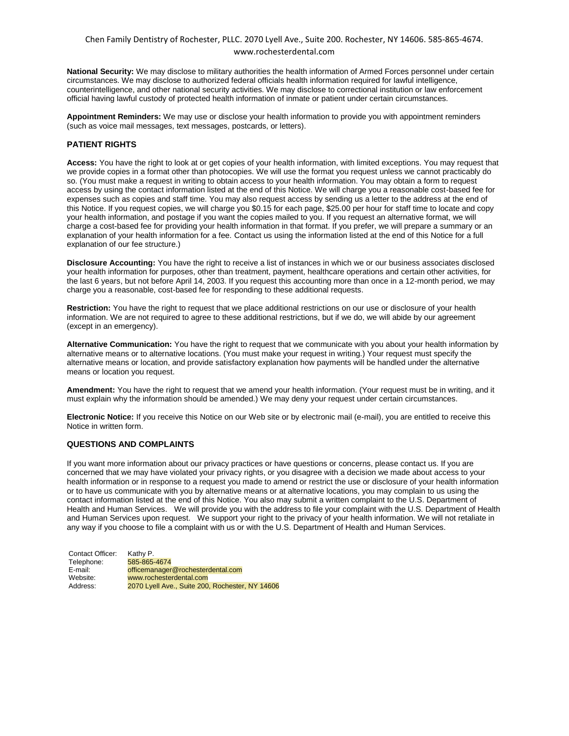# Chen Family Dentistry of Rochester, PLLC. 2070 Lyell Ave., Suite 200. Rochester, NY 14606. 585-865-4674. www.rochesterdental.com

**National Security:** We may disclose to military authorities the health information of Armed Forces personnel under certain circumstances. We may disclose to authorized federal officials health information required for lawful intelligence, counterintelligence, and other national security activities. We may disclose to correctional institution or law enforcement official having lawful custody of protected health information of inmate or patient under certain circumstances.

**Appointment Reminders:** We may use or disclose your health information to provide you with appointment reminders (such as voice mail messages, text messages, postcards, or letters).

## **PATIENT RIGHTS**

**Access:** You have the right to look at or get copies of your health information, with limited exceptions. You may request that we provide copies in a format other than photocopies. We will use the format you request unless we cannot practicably do so. (You must make a request in writing to obtain access to your health information. You may obtain a form to request access by using the contact information listed at the end of this Notice. We will charge you a reasonable cost-based fee for expenses such as copies and staff time. You may also request access by sending us a letter to the address at the end of this Notice. If you request copies, we will charge you \$0.15 for each page, \$25.00 per hour for staff time to locate and copy your health information, and postage if you want the copies mailed to you. If you request an alternative format, we will charge a cost-based fee for providing your health information in that format. If you prefer, we will prepare a summary or an explanation of your health information for a fee. Contact us using the information listed at the end of this Notice for a full explanation of our fee structure.)

**Disclosure Accounting:** You have the right to receive a list of instances in which we or our business associates disclosed your health information for purposes, other than treatment, payment, healthcare operations and certain other activities, for the last 6 years, but not before April 14, 2003. If you request this accounting more than once in a 12-month period, we may charge you a reasonable, cost-based fee for responding to these additional requests.

**Restriction:** You have the right to request that we place additional restrictions on our use or disclosure of your health information. We are not required to agree to these additional restrictions, but if we do, we will abide by our agreement (except in an emergency).

**Alternative Communication:** You have the right to request that we communicate with you about your health information by alternative means or to alternative locations. (You must make your request in writing.) Your request must specify the alternative means or location, and provide satisfactory explanation how payments will be handled under the alternative means or location you request.

**Amendment:** You have the right to request that we amend your health information. (Your request must be in writing, and it must explain why the information should be amended.) We may deny your request under certain circumstances.

**Electronic Notice:** If you receive this Notice on our Web site or by electronic mail (e-mail), you are entitled to receive this Notice in written form.

#### **QUESTIONS AND COMPLAINTS**

If you want more information about our privacy practices or have questions or concerns, please contact us. If you are concerned that we may have violated your privacy rights, or you disagree with a decision we made about access to your health information or in response to a request you made to amend or restrict the use or disclosure of your health information or to have us communicate with you by alternative means or at alternative locations, you may complain to us using the contact information listed at the end of this Notice. You also may submit a written complaint to the U.S. Department of Health and Human Services. We will provide you with the address to file your complaint with the U.S. Department of Health and Human Services upon request. We support your right to the privacy of your health information. We will not retaliate in any way if you choose to file a complaint with us or with the U.S. Department of Health and Human Services.

| Contact Officer: | Kathy P.                                        |  |
|------------------|-------------------------------------------------|--|
| Telephone:       | 585-865-4674                                    |  |
| E-mail:          | officemanager@rochesterdental.com               |  |
| Website:         | www.rochesterdental.com                         |  |
| Address:         | 2070 Lyell Ave., Suite 200, Rochester, NY 14606 |  |